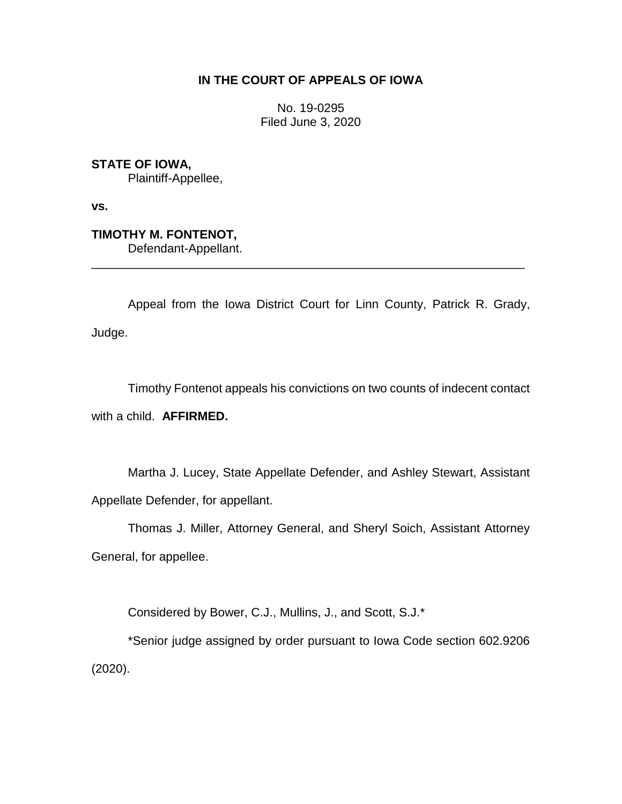## **IN THE COURT OF APPEALS OF IOWA**

No. 19-0295 Filed June 3, 2020

**STATE OF IOWA,**

Plaintiff-Appellee,

**vs.**

**TIMOTHY M. FONTENOT,** Defendant-Appellant.

Appeal from the Iowa District Court for Linn County, Patrick R. Grady, Judge.

\_\_\_\_\_\_\_\_\_\_\_\_\_\_\_\_\_\_\_\_\_\_\_\_\_\_\_\_\_\_\_\_\_\_\_\_\_\_\_\_\_\_\_\_\_\_\_\_\_\_\_\_\_\_\_\_\_\_\_\_\_\_\_\_

Timothy Fontenot appeals his convictions on two counts of indecent contact with a child. **AFFIRMED.** 

Martha J. Lucey, State Appellate Defender, and Ashley Stewart, Assistant Appellate Defender, for appellant.

Thomas J. Miller, Attorney General, and Sheryl Soich, Assistant Attorney General, for appellee.

Considered by Bower, C.J., Mullins, J., and Scott, S.J.\*

\*Senior judge assigned by order pursuant to Iowa Code section 602.9206 (2020).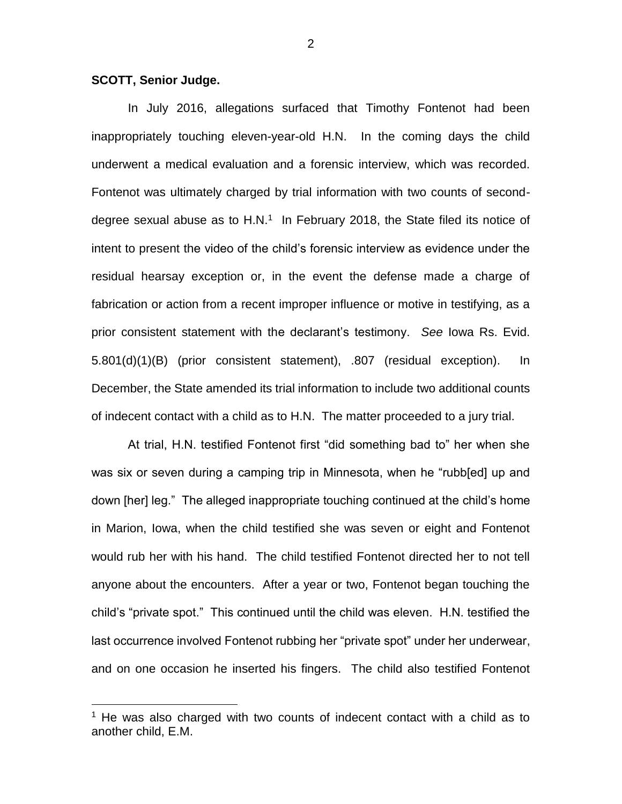## **SCOTT, Senior Judge.**

 $\overline{a}$ 

In July 2016, allegations surfaced that Timothy Fontenot had been inappropriately touching eleven-year-old H.N. In the coming days the child underwent a medical evaluation and a forensic interview, which was recorded. Fontenot was ultimately charged by trial information with two counts of seconddegree sexual abuse as to H.N.<sup>1</sup> In February 2018, the State filed its notice of intent to present the video of the child's forensic interview as evidence under the residual hearsay exception or, in the event the defense made a charge of fabrication or action from a recent improper influence or motive in testifying, as a prior consistent statement with the declarant's testimony. *See* Iowa Rs. Evid. 5.801(d)(1)(B) (prior consistent statement), .807 (residual exception). In December, the State amended its trial information to include two additional counts of indecent contact with a child as to H.N. The matter proceeded to a jury trial.

At trial, H.N. testified Fontenot first "did something bad to" her when she was six or seven during a camping trip in Minnesota, when he "rubb[ed] up and down [her] leg." The alleged inappropriate touching continued at the child's home in Marion, Iowa, when the child testified she was seven or eight and Fontenot would rub her with his hand. The child testified Fontenot directed her to not tell anyone about the encounters. After a year or two, Fontenot began touching the child's "private spot." This continued until the child was eleven. H.N. testified the last occurrence involved Fontenot rubbing her "private spot" under her underwear, and on one occasion he inserted his fingers. The child also testified Fontenot

 $1$  He was also charged with two counts of indecent contact with a child as to another child, E.M.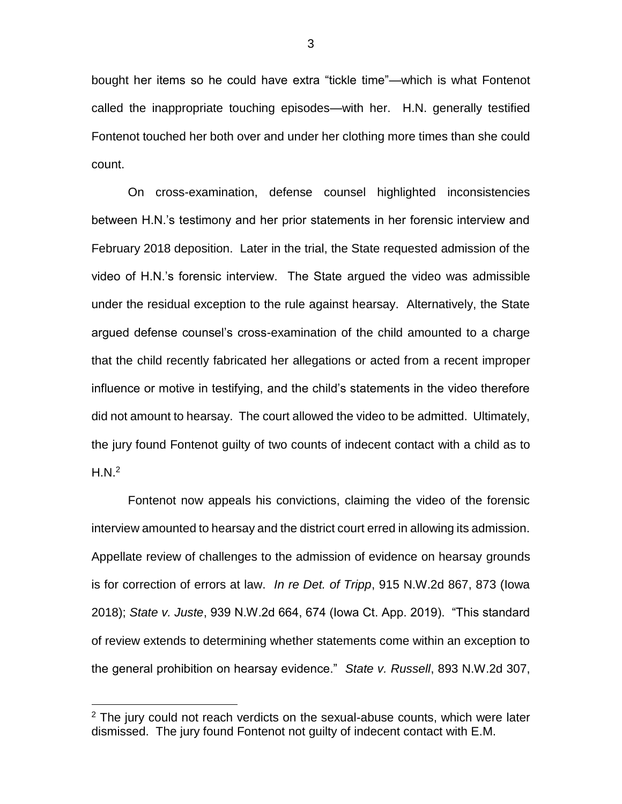bought her items so he could have extra "tickle time"—which is what Fontenot called the inappropriate touching episodes—with her. H.N. generally testified Fontenot touched her both over and under her clothing more times than she could count.

On cross-examination, defense counsel highlighted inconsistencies between H.N.'s testimony and her prior statements in her forensic interview and February 2018 deposition. Later in the trial, the State requested admission of the video of H.N.'s forensic interview. The State argued the video was admissible under the residual exception to the rule against hearsay. Alternatively, the State argued defense counsel's cross-examination of the child amounted to a charge that the child recently fabricated her allegations or acted from a recent improper influence or motive in testifying, and the child's statements in the video therefore did not amount to hearsay. The court allowed the video to be admitted. Ultimately, the jury found Fontenot guilty of two counts of indecent contact with a child as to  $H.N.<sup>2</sup>$ 

Fontenot now appeals his convictions, claiming the video of the forensic interview amounted to hearsay and the district court erred in allowing its admission. Appellate review of challenges to the admission of evidence on hearsay grounds is for correction of errors at law. *In re Det. of Tripp*, 915 N.W.2d 867, 873 (Iowa 2018); *State v. Juste*, 939 N.W.2d 664, 674 (Iowa Ct. App. 2019). "This standard of review extends to determining whether statements come within an exception to the general prohibition on hearsay evidence." *State v. Russell*, 893 N.W.2d 307,

 $\overline{a}$ 

 $2$  The jury could not reach verdicts on the sexual-abuse counts, which were later dismissed. The jury found Fontenot not guilty of indecent contact with E.M.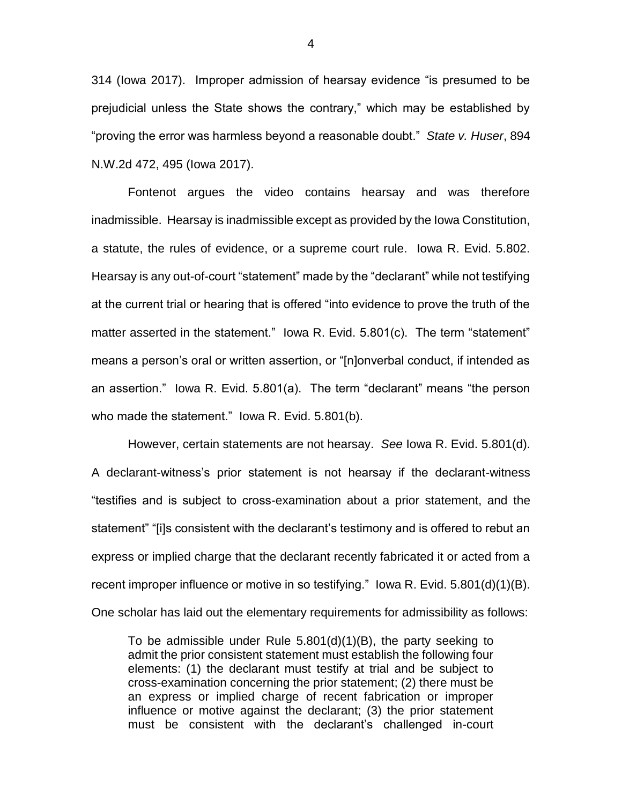314 (Iowa 2017). Improper admission of hearsay evidence "is presumed to be prejudicial unless the State shows the contrary," which may be established by "proving the error was harmless beyond a reasonable doubt." *State v. Huser*, 894 N.W.2d 472, 495 (Iowa 2017).

Fontenot argues the video contains hearsay and was therefore inadmissible. Hearsay is inadmissible except as provided by the Iowa Constitution, a statute, the rules of evidence, or a supreme court rule. Iowa R. Evid. 5.802. Hearsay is any out-of-court "statement" made by the "declarant" while not testifying at the current trial or hearing that is offered "into evidence to prove the truth of the matter asserted in the statement." Iowa R. Evid. 5.801(c). The term "statement" means a person's oral or written assertion, or "[n]onverbal conduct, if intended as an assertion." Iowa R. Evid. 5.801(a). The term "declarant" means "the person who made the statement." Iowa R. Evid. 5.801(b).

However, certain statements are not hearsay. *See* Iowa R. Evid. 5.801(d). A declarant-witness's prior statement is not hearsay if the declarant-witness "testifies and is subject to cross-examination about a prior statement, and the statement" "[i]s consistent with the declarant's testimony and is offered to rebut an express or implied charge that the declarant recently fabricated it or acted from a recent improper influence or motive in so testifying." Iowa R. Evid. 5.801(d)(1)(B). One scholar has laid out the elementary requirements for admissibility as follows:

To be admissible under Rule 5.801(d)(1)(B), the party seeking to admit the prior consistent statement must establish the following four elements: (1) the declarant must testify at trial and be subject to cross-examination concerning the prior statement; (2) there must be an express or implied charge of recent fabrication or improper influence or motive against the declarant; (3) the prior statement must be consistent with the declarant's challenged in-court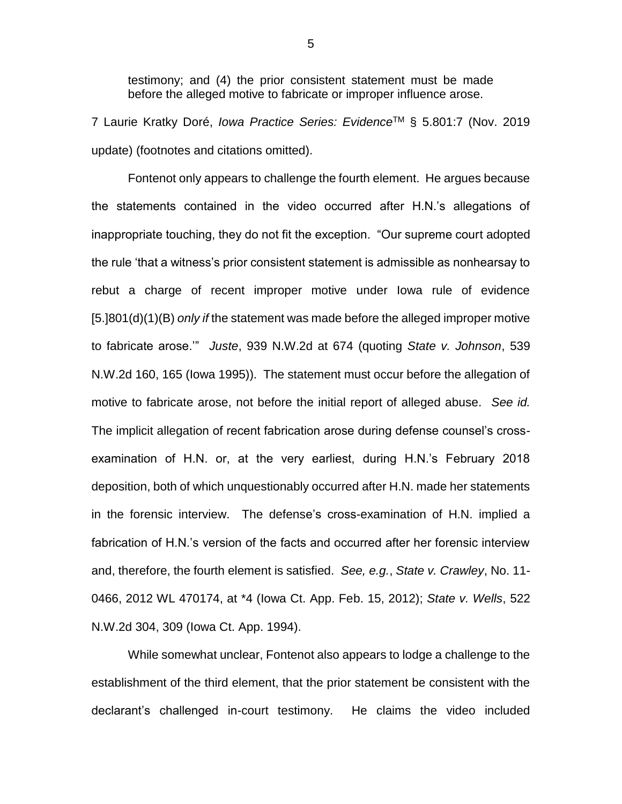testimony; and (4) the prior consistent statement must be made before the alleged motive to fabricate or improper influence arose.

7 Laurie Kratky Doré, *Iowa Practice Series: Evidence*TM § 5.801:7 (Nov. 2019 update) (footnotes and citations omitted).

Fontenot only appears to challenge the fourth element. He argues because the statements contained in the video occurred after H.N.'s allegations of inappropriate touching, they do not fit the exception. "Our supreme court adopted the rule 'that a witness's prior consistent statement is admissible as nonhearsay to rebut a charge of recent improper motive under Iowa rule of evidence [5.]801(d)(1)(B) *only if* the statement was made before the alleged improper motive to fabricate arose.'" *Juste*, 939 N.W.2d at 674 (quoting *State v. Johnson*, 539 N.W.2d 160, 165 (Iowa 1995)). The statement must occur before the allegation of motive to fabricate arose, not before the initial report of alleged abuse. *See id.* The implicit allegation of recent fabrication arose during defense counsel's crossexamination of H.N. or, at the very earliest, during H.N.'s February 2018 deposition, both of which unquestionably occurred after H.N. made her statements in the forensic interview. The defense's cross-examination of H.N. implied a fabrication of H.N.'s version of the facts and occurred after her forensic interview and, therefore, the fourth element is satisfied. *See, e.g.*, *State v. Crawley*, No. 11- 0466, 2012 WL 470174, at \*4 (Iowa Ct. App. Feb. 15, 2012); *State v. Wells*, 522 N.W.2d 304, 309 (Iowa Ct. App. 1994).

While somewhat unclear, Fontenot also appears to lodge a challenge to the establishment of the third element, that the prior statement be consistent with the declarant's challenged in-court testimony. He claims the video included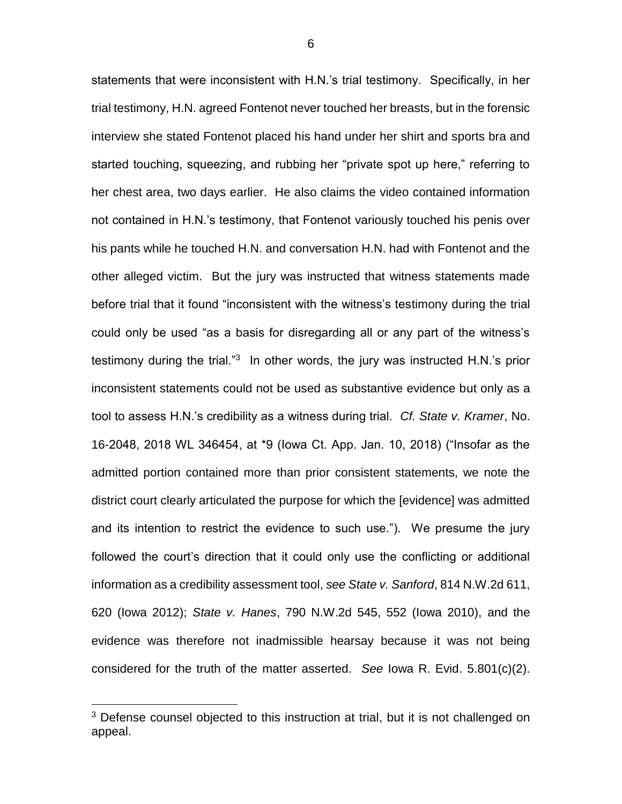statements that were inconsistent with H.N.'s trial testimony. Specifically, in her trial testimony, H.N. agreed Fontenot never touched her breasts, but in the forensic interview she stated Fontenot placed his hand under her shirt and sports bra and started touching, squeezing, and rubbing her "private spot up here," referring to her chest area, two days earlier. He also claims the video contained information not contained in H.N.'s testimony, that Fontenot variously touched his penis over his pants while he touched H.N. and conversation H.N. had with Fontenot and the other alleged victim. But the jury was instructed that witness statements made before trial that it found "inconsistent with the witness's testimony during the trial could only be used "as a basis for disregarding all or any part of the witness's testimony during the trial."<sup>3</sup> In other words, the jury was instructed H.N.'s prior inconsistent statements could not be used as substantive evidence but only as a tool to assess H.N.'s credibility as a witness during trial. *Cf. State v. Kramer*, No. 16-2048, 2018 WL 346454, at \*9 (Iowa Ct. App. Jan. 10, 2018) ("Insofar as the admitted portion contained more than prior consistent statements, we note the district court clearly articulated the purpose for which the [evidence] was admitted and its intention to restrict the evidence to such use."). We presume the jury followed the court's direction that it could only use the conflicting or additional information as a credibility assessment tool, *see State v. Sanford*, 814 N.W.2d 611, 620 (Iowa 2012); *State v. Hanes*, 790 N.W.2d 545, 552 (Iowa 2010), and the evidence was therefore not inadmissible hearsay because it was not being considered for the truth of the matter asserted. *See* Iowa R. Evid. 5.801(c)(2).

 $\overline{a}$ 

<sup>&</sup>lt;sup>3</sup> Defense counsel objected to this instruction at trial, but it is not challenged on appeal.